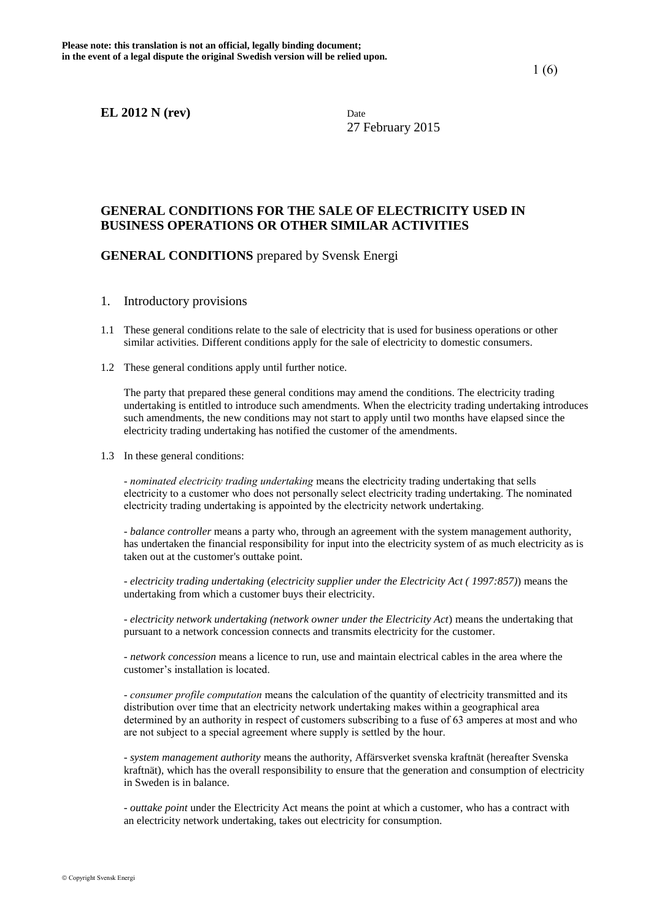27 February 2015

# **GENERAL CONDITIONS FOR THE SALE OF ELECTRICITY USED IN BUSINESS OPERATIONS OR OTHER SIMILAR ACTIVITIES**

## **GENERAL CONDITIONS** prepared by Svensk Energi

- 1. Introductory provisions
- 1.1 These general conditions relate to the sale of electricity that is used for business operations or other similar activities. Different conditions apply for the sale of electricity to domestic consumers.
- 1.2 These general conditions apply until further notice.

The party that prepared these general conditions may amend the conditions. The electricity trading undertaking is entitled to introduce such amendments. When the electricity trading undertaking introduces such amendments, the new conditions may not start to apply until two months have elapsed since the electricity trading undertaking has notified the customer of the amendments.

1.3 In these general conditions:

- *nominated electricity trading undertaking* means the electricity trading undertaking that sells electricity to a customer who does not personally select electricity trading undertaking. The nominated electricity trading undertaking is appointed by the electricity network undertaking.

- *balance controller* means a party who, through an agreement with the system management authority, has undertaken the financial responsibility for input into the electricity system of as much electricity as is taken out at the customer's outtake point.

- *electricity trading undertaking* (*electricity supplier under the Electricity Act ( 1997:857)*) means the undertaking from which a customer buys their electricity.

- *electricity network undertaking (network owner under the Electricity Act*) means the undertaking that pursuant to a network concession connects and transmits electricity for the customer.

*- network concession* means a licence to run, use and maintain electrical cables in the area where the customer's installation is located.

- *consumer profile computation* means the calculation of the quantity of electricity transmitted and its distribution over time that an electricity network undertaking makes within a geographical area determined by an authority in respect of customers subscribing to a fuse of 63 amperes at most and who are not subject to a special agreement where supply is settled by the hour.

- *system management authority* means the authority, Affärsverket svenska kraftnät (hereafter Svenska kraftnät), which has the overall responsibility to ensure that the generation and consumption of electricity in Sweden is in balance.

 - *outtake point* under the Electricity Act means the point at which a customer, who has a contract with an electricity network undertaking, takes out electricity for consumption.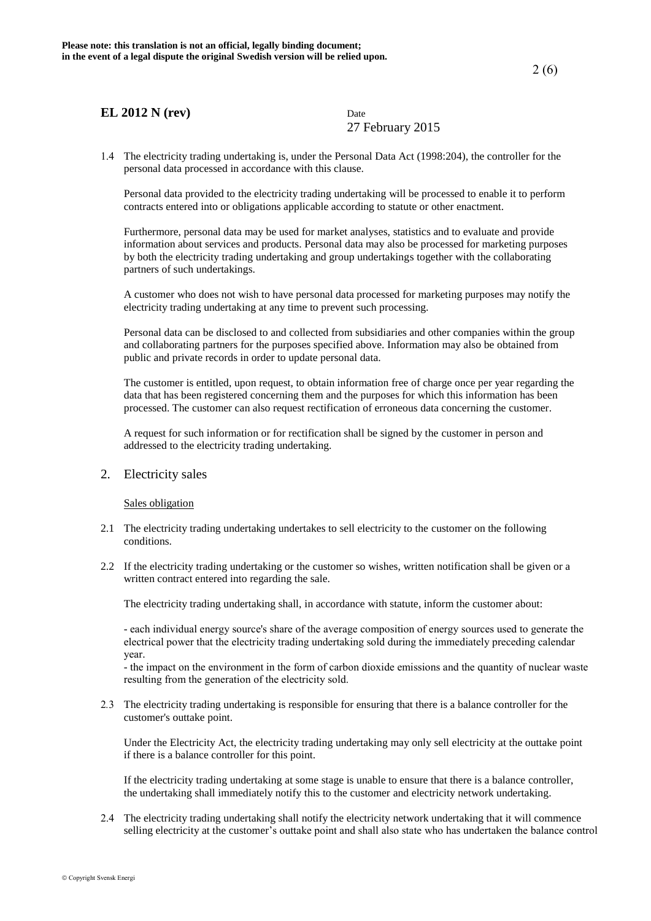27 February 2015

1.4 The electricity trading undertaking is, under the Personal Data Act (1998:204), the controller for the personal data processed in accordance with this clause.

Personal data provided to the electricity trading undertaking will be processed to enable it to perform contracts entered into or obligations applicable according to statute or other enactment.

Furthermore, personal data may be used for market analyses, statistics and to evaluate and provide information about services and products. Personal data may also be processed for marketing purposes by both the electricity trading undertaking and group undertakings together with the collaborating partners of such undertakings.

A customer who does not wish to have personal data processed for marketing purposes may notify the electricity trading undertaking at any time to prevent such processing.

Personal data can be disclosed to and collected from subsidiaries and other companies within the group and collaborating partners for the purposes specified above. Information may also be obtained from public and private records in order to update personal data.

The customer is entitled, upon request, to obtain information free of charge once per year regarding the data that has been registered concerning them and the purposes for which this information has been processed. The customer can also request rectification of erroneous data concerning the customer.

A request for such information or for rectification shall be signed by the customer in person and addressed to the electricity trading undertaking.

2. Electricity sales

Sales obligation

- 2.1 The electricity trading undertaking undertakes to sell electricity to the customer on the following conditions.
- 2.2 If the electricity trading undertaking or the customer so wishes, written notification shall be given or a written contract entered into regarding the sale.

The electricity trading undertaking shall, in accordance with statute, inform the customer about:

- each individual energy source's share of the average composition of energy sources used to generate the electrical power that the electricity trading undertaking sold during the immediately preceding calendar year.

- the impact on the environment in the form of carbon dioxide emissions and the quantity of nuclear waste resulting from the generation of the electricity sold.

2*.*3 The electricity trading undertaking is responsible for ensuring that there is a balance controller for the customer's outtake point.

Under the Electricity Act, the electricity trading undertaking may only sell electricity at the outtake point if there is a balance controller for this point.

If the electricity trading undertaking at some stage is unable to ensure that there is a balance controller, the undertaking shall immediately notify this to the customer and electricity network undertaking.

2.4 The electricity trading undertaking shall notify the electricity network undertaking that it will commence selling electricity at the customer's outtake point and shall also state who has undertaken the balance control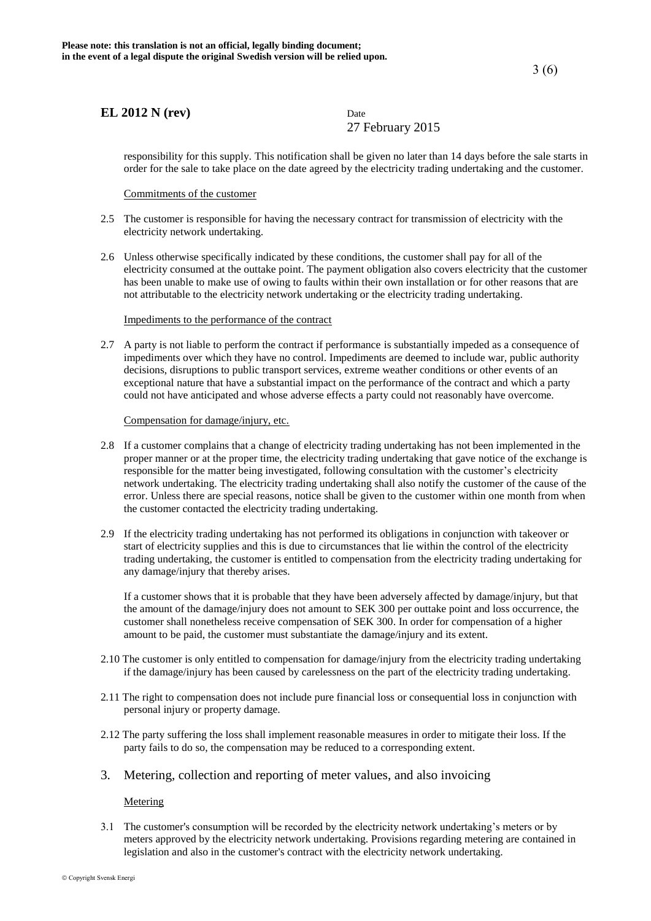27 February 2015

responsibility for this supply. This notification shall be given no later than 14 days before the sale starts in order for the sale to take place on the date agreed by the electricity trading undertaking and the customer.

Commitments of the customer

- 2.5 The customer is responsible for having the necessary contract for transmission of electricity with the electricity network undertaking.
- 2*.*6 Unless otherwise specifically indicated by these conditions, the customer shall pay for all of the electricity consumed at the outtake point. The payment obligation also covers electricity that the customer has been unable to make use of owing to faults within their own installation or for other reasons that are not attributable to the electricity network undertaking or the electricity trading undertaking.

#### Impediments to the performance of the contract

2.7 A party is not liable to perform the contract if performance is substantially impeded as a consequence of impediments over which they have no control. Impediments are deemed to include war, public authority decisions, disruptions to public transport services, extreme weather conditions or other events of an exceptional nature that have a substantial impact on the performance of the contract and which a party could not have anticipated and whose adverse effects a party could not reasonably have overcome.

#### Compensation for damage/injury, etc.

- 2.8 If a customer complains that a change of electricity trading undertaking has not been implemented in the proper manner or at the proper time, the electricity trading undertaking that gave notice of the exchange is responsible for the matter being investigated, following consultation with the customer's electricity network undertaking. The electricity trading undertaking shall also notify the customer of the cause of the error. Unless there are special reasons, notice shall be given to the customer within one month from when the customer contacted the electricity trading undertaking.
- 2.9 If the electricity trading undertaking has not performed its obligations in conjunction with takeover or start of electricity supplies and this is due to circumstances that lie within the control of the electricity trading undertaking, the customer is entitled to compensation from the electricity trading undertaking for any damage/injury that thereby arises.

If a customer shows that it is probable that they have been adversely affected by damage/injury, but that the amount of the damage/injury does not amount to SEK 300 per outtake point and loss occurrence, the customer shall nonetheless receive compensation of SEK 300. In order for compensation of a higher amount to be paid, the customer must substantiate the damage/injury and its extent.

- 2.10 The customer is only entitled to compensation for damage/injury from the electricity trading undertaking if the damage/injury has been caused by carelessness on the part of the electricity trading undertaking.
- 2*.*11 The right to compensation does not include pure financial loss or consequential loss in conjunction with personal injury or property damage.
- 2.12 The party suffering the loss shall implement reasonable measures in order to mitigate their loss. If the party fails to do so, the compensation may be reduced to a corresponding extent.
- 3. Metering, collection and reporting of meter values, and also invoicing

#### Metering

3.1 The customer's consumption will be recorded by the electricity network undertaking's meters or by meters approved by the electricity network undertaking. Provisions regarding metering are contained in legislation and also in the customer's contract with the electricity network undertaking.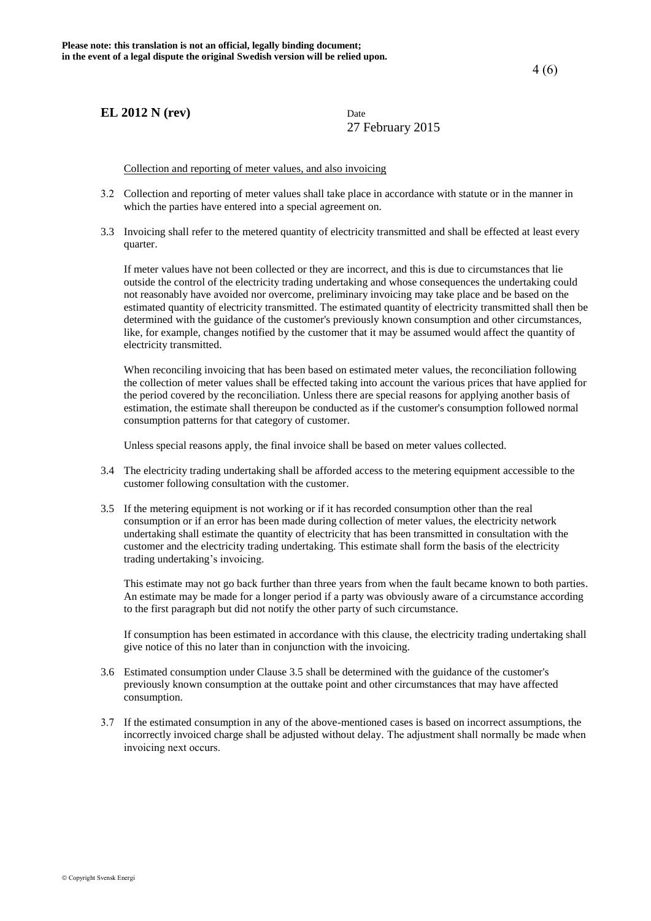27 February 2015

Collection and reporting of meter values, and also invoicing

- 3.2 Collection and reporting of meter values shall take place in accordance with statute or in the manner in which the parties have entered into a special agreement on.
- 3.3 Invoicing shall refer to the metered quantity of electricity transmitted and shall be effected at least every quarter.

If meter values have not been collected or they are incorrect, and this is due to circumstances that lie outside the control of the electricity trading undertaking and whose consequences the undertaking could not reasonably have avoided nor overcome, preliminary invoicing may take place and be based on the estimated quantity of electricity transmitted. The estimated quantity of electricity transmitted shall then be determined with the guidance of the customer's previously known consumption and other circumstances, like, for example, changes notified by the customer that it may be assumed would affect the quantity of electricity transmitted.

When reconciling invoicing that has been based on estimated meter values, the reconciliation following the collection of meter values shall be effected taking into account the various prices that have applied for the period covered by the reconciliation. Unless there are special reasons for applying another basis of estimation, the estimate shall thereupon be conducted as if the customer's consumption followed normal consumption patterns for that category of customer.

Unless special reasons apply, the final invoice shall be based on meter values collected.

- 3.4 The electricity trading undertaking shall be afforded access to the metering equipment accessible to the customer following consultation with the customer.
- 3.5 If the metering equipment is not working or if it has recorded consumption other than the real consumption or if an error has been made during collection of meter values, the electricity network undertaking shall estimate the quantity of electricity that has been transmitted in consultation with the customer and the electricity trading undertaking. This estimate shall form the basis of the electricity trading undertaking's invoicing.

This estimate may not go back further than three years from when the fault became known to both parties. An estimate may be made for a longer period if a party was obviously aware of a circumstance according to the first paragraph but did not notify the other party of such circumstance.

If consumption has been estimated in accordance with this clause, the electricity trading undertaking shall give notice of this no later than in conjunction with the invoicing.

- 3.6 Estimated consumption under Clause 3.5 shall be determined with the guidance of the customer's previously known consumption at the outtake point and other circumstances that may have affected consumption.
- 3.7 If the estimated consumption in any of the above-mentioned cases is based on incorrect assumptions, the incorrectly invoiced charge shall be adjusted without delay. The adjustment shall normally be made when invoicing next occurs.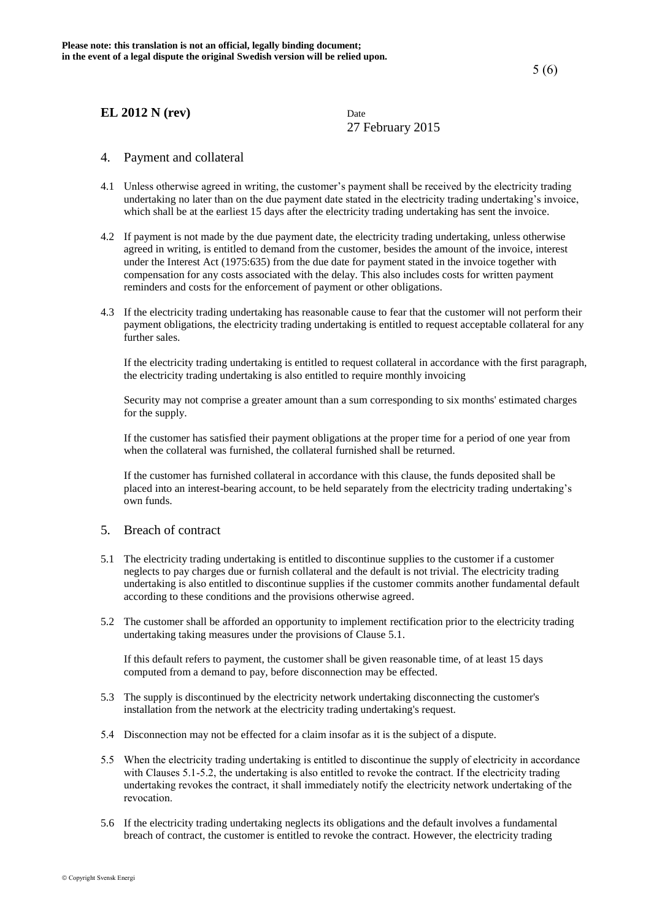27 February 2015

## 4. Payment and collateral

- 4.1 Unless otherwise agreed in writing, the customer's payment shall be received by the electricity trading undertaking no later than on the due payment date stated in the electricity trading undertaking's invoice, which shall be at the earliest 15 days after the electricity trading undertaking has sent the invoice.
- 4.2 If payment is not made by the due payment date, the electricity trading undertaking, unless otherwise agreed in writing, is entitled to demand from the customer, besides the amount of the invoice, interest under the Interest Act (1975:635) from the due date for payment stated in the invoice together with compensation for any costs associated with the delay. This also includes costs for written payment reminders and costs for the enforcement of payment or other obligations.
- 4.3 If the electricity trading undertaking has reasonable cause to fear that the customer will not perform their payment obligations, the electricity trading undertaking is entitled to request acceptable collateral for any further sales.

If the electricity trading undertaking is entitled to request collateral in accordance with the first paragraph, the electricity trading undertaking is also entitled to require monthly invoicing

Security may not comprise a greater amount than a sum corresponding to six months' estimated charges for the supply.

If the customer has satisfied their payment obligations at the proper time for a period of one year from when the collateral was furnished, the collateral furnished shall be returned.

 If the customer has furnished collateral in accordance with this clause, the funds deposited shall be placed into an interest-bearing account, to be held separately from the electricity trading undertaking's own funds.

#### 5. Breach of contract

- 5.1 The electricity trading undertaking is entitled to discontinue supplies to the customer if a customer neglects to pay charges due or furnish collateral and the default is not trivial. The electricity trading undertaking is also entitled to discontinue supplies if the customer commits another fundamental default according to these conditions and the provisions otherwise agreed.
- 5.2 The customer shall be afforded an opportunity to implement rectification prior to the electricity trading undertaking taking measures under the provisions of Clause 5.1.

If this default refers to payment, the customer shall be given reasonable time, of at least 15 days computed from a demand to pay, before disconnection may be effected.

- 5.3 The supply is discontinued by the electricity network undertaking disconnecting the customer's installation from the network at the electricity trading undertaking's request.
- 5.4 Disconnection may not be effected for a claim insofar as it is the subject of a dispute.
- 5.5 When the electricity trading undertaking is entitled to discontinue the supply of electricity in accordance with Clauses 5.1-5.2, the undertaking is also entitled to revoke the contract. If the electricity trading undertaking revokes the contract, it shall immediately notify the electricity network undertaking of the revocation.
- 5.6 If the electricity trading undertaking neglects its obligations and the default involves a fundamental breach of contract, the customer is entitled to revoke the contract. However, the electricity trading